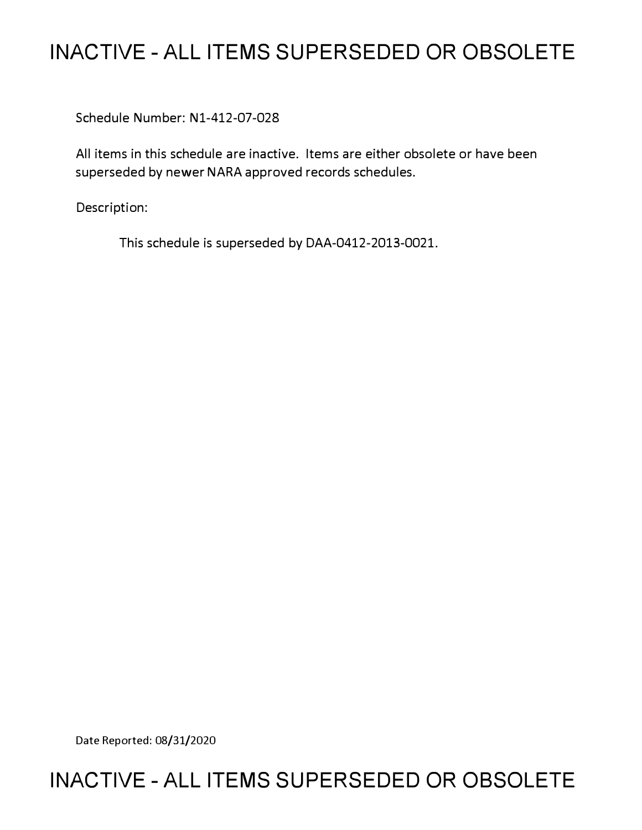# **INACTIVE - ALL ITEMS SUPERSEDED OR OBSOLETE**

Schedule Number: Nl-412-07-028

All items in this schedule are inactive. Items are either obsolete or have been superseded by newer NARA approved records schedules.

Description:

This schedule is superseded by DAA-0412-2013-0021.

Date Reported: 08/31/2020

# **INACTIVE - ALL ITEMS SUPERSEDED OR OBSOLETE**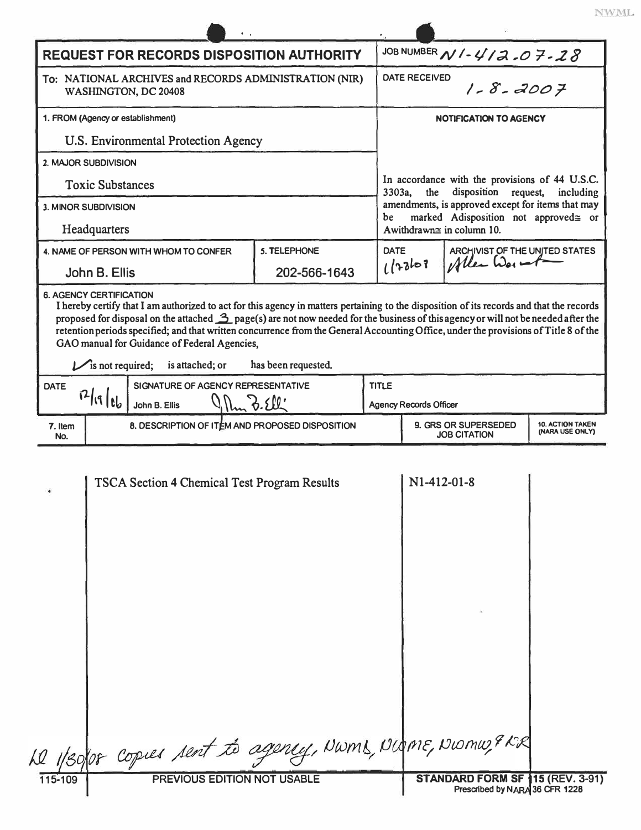| <b>REQUEST FOR RECORDS DISPOSITION AUTHORITY</b><br>To: NATIONAL ARCHIVES and RECORDS ADMINISTRATION (NIR)<br>WASHINGTON, DC 20408<br>1. FROM (Agency or establishment)<br>U.S. Environmental Protection Agency<br>2. MAJOR SUBDIVISION<br><b>Toxic Substances</b><br>3. MINOR SUBDIVISION<br>be<br>Headquarters<br><b>5. TELEPHONE</b><br><b>DATE</b><br>4. NAME OF PERSON WITH WHOM TO CONFER<br>202-566-1643<br>John B. Ellis<br><b>6. AGENCY CERTIFICATION</b><br>I hereby certify that I am authorized to act for this agency in matters pertaining to the disposition of its records and that the records<br>proposed for disposal on the attached $\frac{3}{2}$ page(s) are not now needed for the business of this agency or will not be needed after the<br>retention periods specified; and that written concurrence from the General Accounting Office, under the provisions of Title 8 of the<br>GAO manual for Guidance of Federal Agencies,<br>has been requested.<br>$\mathcal{V}$ is not required;<br>is attached; or<br>TITLE<br>SIGNATURE OF AGENCY REPRESENTATIVE<br><b>DATE</b><br>1211116<br>3.50<br>John B. Ellis<br>8. DESCRIPTION OF ITEM AND PROPOSED DISPOSITION<br>7. Item<br>No.<br><b>TSCA Section 4 Chemical Test Program Results</b> | JOB NUMBER N / - 4/2.07.28<br><b>DATE RECEIVED</b><br>$1 - 8 - 2007$<br><b>NOTIFICATION TO AGENCY</b><br>In accordance with the provisions of 44 U.S.C.<br>3303a,<br>disposition request, including<br>the<br>amendments, is approved except for items that may<br>marked Adisposition not approved≅ or<br>Awithdrawn≅ in column 10.<br>ARCHIVIST OF THE UNITED STATES<br>Allen War<br>1/2268<br>9. GRS OR SUPERSEDED |                               |  |
|---------------------------------------------------------------------------------------------------------------------------------------------------------------------------------------------------------------------------------------------------------------------------------------------------------------------------------------------------------------------------------------------------------------------------------------------------------------------------------------------------------------------------------------------------------------------------------------------------------------------------------------------------------------------------------------------------------------------------------------------------------------------------------------------------------------------------------------------------------------------------------------------------------------------------------------------------------------------------------------------------------------------------------------------------------------------------------------------------------------------------------------------------------------------------------------------------------------------------------------------------------------------|-----------------------------------------------------------------------------------------------------------------------------------------------------------------------------------------------------------------------------------------------------------------------------------------------------------------------------------------------------------------------------------------------------------------------|-------------------------------|--|
|                                                                                                                                                                                                                                                                                                                                                                                                                                                                                                                                                                                                                                                                                                                                                                                                                                                                                                                                                                                                                                                                                                                                                                                                                                                                     |                                                                                                                                                                                                                                                                                                                                                                                                                       |                               |  |
|                                                                                                                                                                                                                                                                                                                                                                                                                                                                                                                                                                                                                                                                                                                                                                                                                                                                                                                                                                                                                                                                                                                                                                                                                                                                     |                                                                                                                                                                                                                                                                                                                                                                                                                       |                               |  |
|                                                                                                                                                                                                                                                                                                                                                                                                                                                                                                                                                                                                                                                                                                                                                                                                                                                                                                                                                                                                                                                                                                                                                                                                                                                                     |                                                                                                                                                                                                                                                                                                                                                                                                                       |                               |  |
|                                                                                                                                                                                                                                                                                                                                                                                                                                                                                                                                                                                                                                                                                                                                                                                                                                                                                                                                                                                                                                                                                                                                                                                                                                                                     |                                                                                                                                                                                                                                                                                                                                                                                                                       |                               |  |
|                                                                                                                                                                                                                                                                                                                                                                                                                                                                                                                                                                                                                                                                                                                                                                                                                                                                                                                                                                                                                                                                                                                                                                                                                                                                     |                                                                                                                                                                                                                                                                                                                                                                                                                       |                               |  |
|                                                                                                                                                                                                                                                                                                                                                                                                                                                                                                                                                                                                                                                                                                                                                                                                                                                                                                                                                                                                                                                                                                                                                                                                                                                                     |                                                                                                                                                                                                                                                                                                                                                                                                                       |                               |  |
|                                                                                                                                                                                                                                                                                                                                                                                                                                                                                                                                                                                                                                                                                                                                                                                                                                                                                                                                                                                                                                                                                                                                                                                                                                                                     |                                                                                                                                                                                                                                                                                                                                                                                                                       |                               |  |
|                                                                                                                                                                                                                                                                                                                                                                                                                                                                                                                                                                                                                                                                                                                                                                                                                                                                                                                                                                                                                                                                                                                                                                                                                                                                     |                                                                                                                                                                                                                                                                                                                                                                                                                       |                               |  |
|                                                                                                                                                                                                                                                                                                                                                                                                                                                                                                                                                                                                                                                                                                                                                                                                                                                                                                                                                                                                                                                                                                                                                                                                                                                                     |                                                                                                                                                                                                                                                                                                                                                                                                                       |                               |  |
|                                                                                                                                                                                                                                                                                                                                                                                                                                                                                                                                                                                                                                                                                                                                                                                                                                                                                                                                                                                                                                                                                                                                                                                                                                                                     |                                                                                                                                                                                                                                                                                                                                                                                                                       |                               |  |
|                                                                                                                                                                                                                                                                                                                                                                                                                                                                                                                                                                                                                                                                                                                                                                                                                                                                                                                                                                                                                                                                                                                                                                                                                                                                     |                                                                                                                                                                                                                                                                                                                                                                                                                       |                               |  |
|                                                                                                                                                                                                                                                                                                                                                                                                                                                                                                                                                                                                                                                                                                                                                                                                                                                                                                                                                                                                                                                                                                                                                                                                                                                                     |                                                                                                                                                                                                                                                                                                                                                                                                                       | <b>Agency Records Officer</b> |  |
|                                                                                                                                                                                                                                                                                                                                                                                                                                                                                                                                                                                                                                                                                                                                                                                                                                                                                                                                                                                                                                                                                                                                                                                                                                                                     |                                                                                                                                                                                                                                                                                                                                                                                                                       | <b>10. ACTION TAKEN</b>       |  |
|                                                                                                                                                                                                                                                                                                                                                                                                                                                                                                                                                                                                                                                                                                                                                                                                                                                                                                                                                                                                                                                                                                                                                                                                                                                                     | <b>JOB CITATION</b>                                                                                                                                                                                                                                                                                                                                                                                                   | (NARA USE ONLY)               |  |
|                                                                                                                                                                                                                                                                                                                                                                                                                                                                                                                                                                                                                                                                                                                                                                                                                                                                                                                                                                                                                                                                                                                                                                                                                                                                     | N1-412-01-8                                                                                                                                                                                                                                                                                                                                                                                                           |                               |  |
| Le 1/30/08 Copies sent to agency, NWMS, Nigme, Niomu, 9 KR<br>PREVIOUS EDITION NOT USABLE<br>115-109                                                                                                                                                                                                                                                                                                                                                                                                                                                                                                                                                                                                                                                                                                                                                                                                                                                                                                                                                                                                                                                                                                                                                                |                                                                                                                                                                                                                                                                                                                                                                                                                       |                               |  |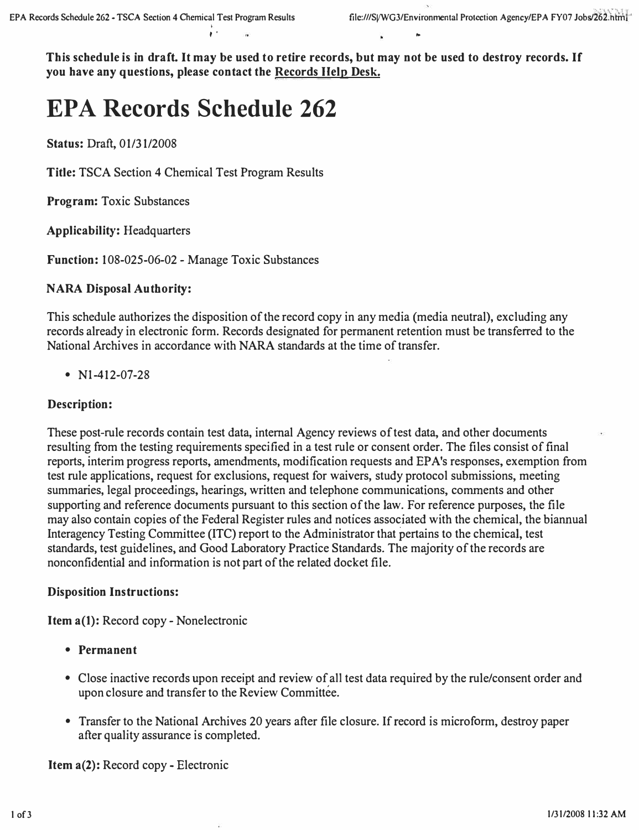**This schedule is in draft. It may be used to retire records, but may not be used to destroy records. If you have any questions, please contact the Records Help Desk.** 

# **EPA Records Schedule 262**

**Status:** Draft, 01/31/2008

**Title:** TSCA Section 4 Chemical Test Program Results

**Program:** Toxic Substances

**Applicability:** Headquarters

**Function:** 108-025-06-02 - Manage Toxic Substances

# **NARA Disposal Authority:**

This schedule authorizes the disposition of the record copy in any media (media neutral), excluding any records already in electronic form. Records designated for permanent retention must be transferred to the National Archives in accordance with NARA standards at the time of transfer.

• Nl-412-07-28

# **Description:**

These post-rule records contain test data, internal Agency reviews of test data, and other documents resulting from the testing requirements specified in a test rule or consent order. The files consist of final reports, interim progress reports, amendments, modification requests and EPA's responses, exemption from test rule applications, request for exclusions, request for waivers, study protocol submissions, meeting summaries, legal proceedings, hearings, written and telephone communications, comments and other supporting and reference documents pursuant to this section of the law. For reference purposes, the file may also contain copies of the Federal Register rules and notices associated with the chemical, the biannual Interagency Testing Committee (ITC) report to the Administrator that pertains to the chemical, test standards, test guidelines, and Good Laboratory Practice Standards. The majority of the records are nonconfidential and information is not part of the related docket file.

# **Disposition Instructions:**

**Item a(l):** Record copy- Nonelectronic

- **Permanent**
- Close inactive records upon receipt and review of all test data required by the rule/consent order and upon closure and transfer to the Review Committee.
- Transfer to the National Archives 20 years after file closure. If record is microform, destroy paper after quality assurance is completed.

**Item a(2):** Record copy - Electronic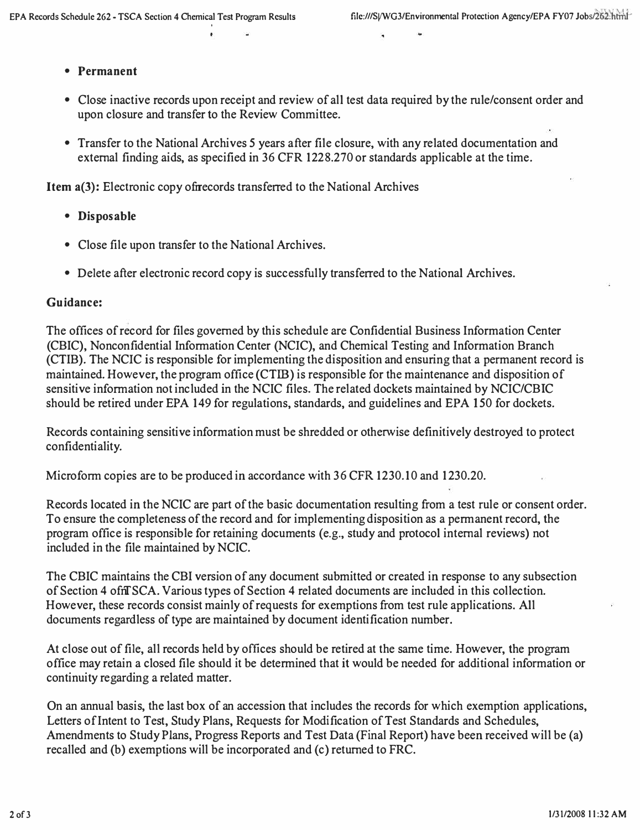#### **• Permanent**

- **Close inactive records upon receipt and review of all test data required by the rule/consent order and upon closure and transfer to the Review Committee.**
- **Transfer to the National Archives 5 years after file closure, with any related documentation and external finding aids, as specified in 36 CFR 1228.270 or standards applicable at the time.**

**Item a(3): Electronic copy ofnrecords transferred to the National Archives** 

- **Disposable**
- **Close file upon transfer to the National Archives.**
- **Delete after electronic record copy is successfully transferred to the National Archives.**

#### **Guidance:**

**The offices of record for files governed by this schedule are Confidential Business Information Center (CBIC), Nonconfidential Information Center (NCIC), and Chemical Testing and Information Branch (CTIB). The NCIC is responsible for implementing the disposition and ensuring that a permanent record is maintained. However, the program office (CTIB) is responsible for the maintenance and disposition of sensitive information not included in the NCIC files. The related dockets maintained by NCIC/CBIC should be retired under EPA 149 for regulations, standards, and guidelines and EPA 150 for dockets.** 

**Records containing sensitive information must be shredded or otherwise definitively destroyed to protect confidentiality.**

**Microform copies are to be produced in accordance with 36 CFR 1230.10 and 1230.20.** 

**Records located in the NCIC are part of the basic documentation resulting from a test rule or consent order. To ensure the completeness of the record and for implementing disposition as a permanent record, the program office is responsible for retaining documents (e.g., study and protocol internal reviews) not included in the file maintained by NCIC.** 

**The CBIC maintains the CBI version of any document submitted or created in response to any subsection of Section 4 ofnTSCA. Various types of Section 4 related documents are included in this collection. However, these records consist mainly of requests for exemptions from test rule applications. All documents regardless of type are maintained by document identification number.** 

**At close out of file, all records held by offices should be retired at the same time. However, the program office may retain a closed file should it be determined that it would be needed for additional information or continuity regarding a related matter.** 

**On an annual basis, the last box of an accession that includes the records for which exemption applications, Letters of Intent to Test, Study Plans, Requests for Modification of Test Standards and Schedules, Amendments to Study Plans, Progress Reports and Test Data (Final Report) have been received will be (a) recalled and (b) exemptions will be incorporated and (c) returned to FRC.**